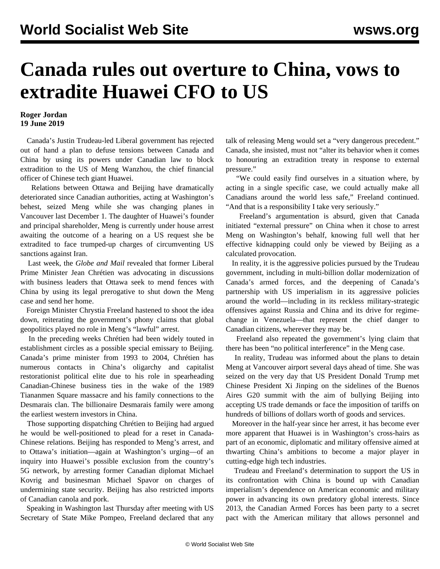## **Canada rules out overture to China, vows to extradite Huawei CFO to US**

## **Roger Jordan 19 June 2019**

 Canada's Justin Trudeau-led Liberal government has rejected out of hand a plan to defuse tensions between Canada and China by using its powers under Canadian law to block extradition to the US of Meng Wanzhou, the chief financial officer of Chinese tech giant Huawei.

 Relations between Ottawa and Beijing have dramatically deteriorated since Canadian authorities, acting at Washington's behest, seized Meng while she was changing planes in Vancouver last December 1. The daughter of Huawei's founder and principal shareholder, Meng is currently under house arrest awaiting the outcome of a hearing on a US request she be extradited to face trumped-up charges of circumventing US sanctions against Iran.

 Last week, the *Globe and Mail* revealed that former Liberal Prime Minister Jean Chrétien was advocating in discussions with business leaders that Ottawa seek to mend fences with China by using its legal prerogative to shut down the Meng case and send her home.

 Foreign Minister Chrystia Freeland hastened to shoot the idea down, reiterating the government's phony claims that global geopolitics played no role in Meng's "lawful" arrest.

 In the preceding weeks Chrétien had been widely touted in establishment circles as a possible special emissary to Beijing. Canada's prime minister from 1993 to 2004, Chrétien has numerous contacts in China's oligarchy and capitalist restorationist political elite due to his role in spearheading Canadian-Chinese business ties in the wake of the 1989 Tiananmen Square massacre and his family connections to the Desmarais clan. The billionaire Desmarais family were among the earliest western investors in China.

 Those supporting dispatching Chrétien to Beijing had argued he would be well-positioned to plead for a reset in Canada-Chinese relations. Beijing has responded to Meng's arrest, and to Ottawa's initiation—again at Washington's urging—of an inquiry into Huawei's possible exclusion from the country's 5G network, by arresting former Canadian diplomat Michael Kovrig and businesman Michael Spavor on charges of undermining state security. Beijing has also restricted imports of Canadian canola and pork.

 Speaking in Washington last Thursday after meeting with US Secretary of State Mike Pompeo, Freeland declared that any talk of releasing Meng would set a "very dangerous precedent." Canada, she insisted, must not "alter its behavior when it comes to honouring an extradition treaty in response to external pressure."

 "We could easily find ourselves in a situation where, by acting in a single specific case, we could actually make all Canadians around the world less safe," Freeland continued. "And that is a responsibility I take very seriously."

 Freeland's argumentation is absurd, given that Canada initiated "external pressure" on China when it chose to arrest Meng on Washington's behalf, knowing full well that her effective kidnapping could only be viewed by Beijing as a calculated provocation.

 In reality, it is the aggressive policies pursued by the Trudeau government, including in multi-billion dollar modernization of Canada's armed forces, and the deepening of Canada's partnership with US imperialism in its aggressive policies around the world—including in its reckless military-strategic offensives against Russia and China and its drive for regimechange in Venezuela—that represent the chief danger to Canadian citizens, wherever they may be.

 Freeland also repeated the government's lying claim that there has been "no political interference" in the Meng case.

 In reality, Trudeau was informed about the plans to detain Meng at Vancouver airport several days ahead of time. She was seized on the very day that US President Donald Trump met Chinese President Xi Jinping on the sidelines of the Buenos Aires G20 summit with the aim of bullying Beijing into accepting US trade demands or face the imposition of tariffs on hundreds of billions of dollars worth of goods and services.

 Moreover in the half-year since her arrest, it has become ever more apparent that Huawei is in Washington's cross-hairs as part of an economic, diplomatic and military offensive aimed at thwarting China's ambitions to become a major player in cutting-edge high tech industries.

 Trudeau and Freeland's determination to support the US in its confrontation with China is bound up with Canadian imperialism's dependence on American economic and military power in advancing its own predatory global interests. Since 2013, the Canadian Armed Forces has been party to a secret pact with the American military that allows personnel and